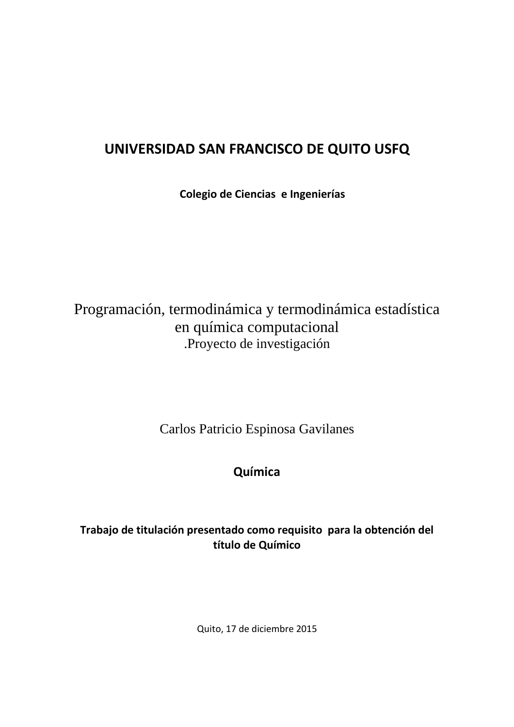# **UNIVERSIDAD SAN FRANCISCO DE QUITO USFQ**

**Colegio de Ciencias e Ingenierías**

# Programación, termodinámica y termodinámica estadística en química computacional .Proyecto de investigación

Carlos Patricio Espinosa Gavilanes

## **Química**

## **Trabajo de titulación presentado como requisito para la obtención del título de Químico**

Quito, 17 de diciembre 2015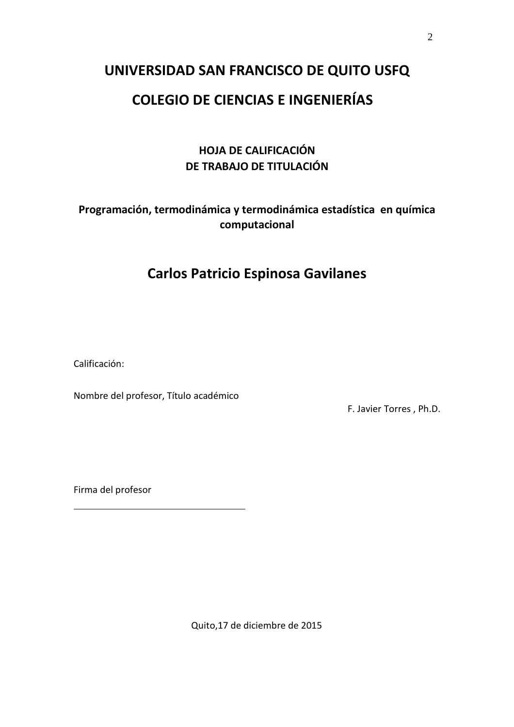# **UNIVERSIDAD SAN FRANCISCO DE QUITO USFQ COLEGIO DE CIENCIAS E INGENIERÍAS**

## **HOJA DE CALIFICACIÓN DE TRABAJO DE TITULACIÓN**

## **Programación, termodinámica y termodinámica estadística en química computacional**

# **Carlos Patricio Espinosa Gavilanes**

Calificación:

Nombre del profesor, Título académico

F. Javier Torres , Ph.D.

Firma del profesor

Quito,17 de diciembre de 2015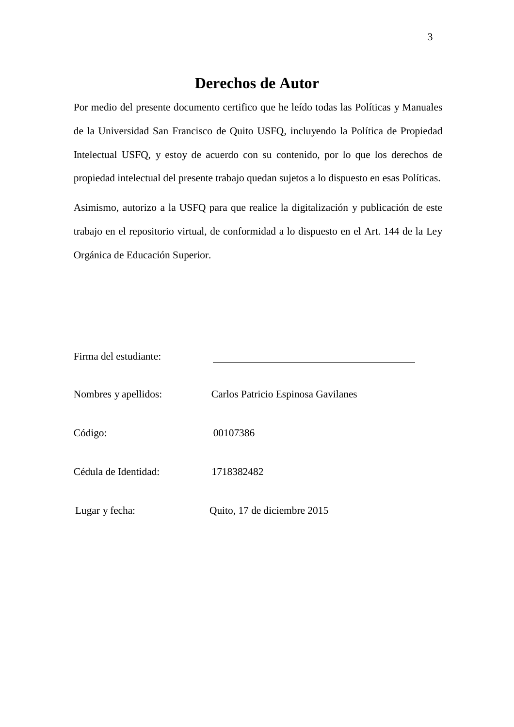## **Derechos de Autor**

Por medio del presente documento certifico que he leído todas las Políticas y Manuales de la Universidad San Francisco de Quito USFQ, incluyendo la Política de Propiedad Intelectual USFQ, y estoy de acuerdo con su contenido, por lo que los derechos de propiedad intelectual del presente trabajo quedan sujetos a lo dispuesto en esas Políticas. Asimismo, autorizo a la USFQ para que realice la digitalización y publicación de este trabajo en el repositorio virtual, de conformidad a lo dispuesto en el Art. 144 de la Ley Orgánica de Educación Superior.

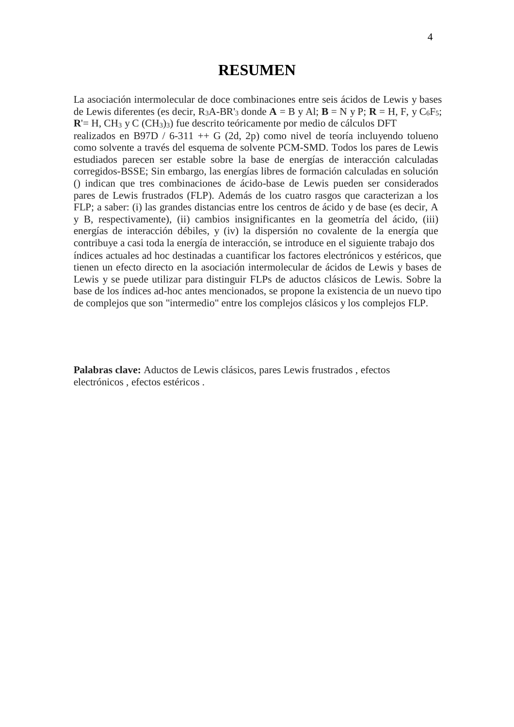### **RESUMEN**

La asociación intermolecular de doce combinaciones entre seis ácidos de Lewis y bases de Lewis diferentes (es decir,  $R_3A-BR'_3$  donde  $A = B y A!$ ;  $B = N y P$ ;  $R = H$ ,  $F$ ,  $y C_6F_5$ ;  $\mathbb{R}$ '= H, CH<sub>3</sub> y C (CH<sub>3</sub>)<sub>3</sub>) fue descrito teóricamente por medio de cálculos DFT realizados en B97D / 6-311 +  $G$  (2d, 2p) como nivel de teoría incluyendo tolueno como solvente a través del esquema de solvente PCM-SMD. Todos los pares de Lewis estudiados parecen ser estable sobre la base de energías de interacción calculadas corregidos-BSSE; Sin embargo, las energías libres de formación calculadas en solución () indican que tres combinaciones de ácido-base de Lewis pueden ser considerados pares de Lewis frustrados (FLP). Además de los cuatro rasgos que caracterizan a los FLP; a saber: (i) las grandes distancias entre los centros de ácido y de base (es decir, A y B, respectivamente), (ii) cambios insignificantes en la geometría del ácido, (iii) energías de interacción débiles, y (iv) la dispersión no covalente de la energía que contribuye a casi toda la energía de interacción, se introduce en el siguiente trabajo dos índices actuales ad hoc destinadas a cuantificar los factores electrónicos y estéricos, que tienen un efecto directo en la asociación intermolecular de ácidos de Lewis y bases de Lewis y se puede utilizar para distinguir FLPs de aductos clásicos de Lewis. Sobre la base de los índices ad-hoc antes mencionados, se propone la existencia de un nuevo tipo de complejos que son "intermedio" entre los complejos clásicos y los complejos FLP.

**Palabras clave:** Aductos de Lewis clásicos, pares Lewis frustrados , efectos electrónicos , efectos estéricos .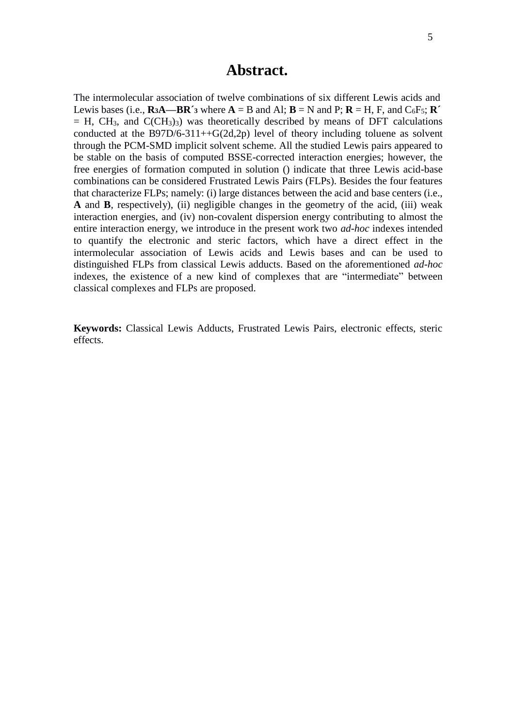## **Abstract.**

The intermolecular association of twelve combinations of six different Lewis acids and Lewis bases (i.e.,  $\mathbf{R}$ <sub>3</sub> $\mathbf{A}$ — $\mathbf{B}$  $\mathbf{R}$ <sup>'</sup> $\mathbf{3}$  where  $\mathbf{A} = \mathbf{B}$  and  $\mathbf{A}$  $\mathbf{I}$ ;  $\mathbf{B} = \mathbf{N}$  and  $\mathbf{P}$ ;  $\mathbf{R} = \mathbf{H}$ ,  $\mathbf{F}$ , and  $\mathbf{C}_6\mathbf{F}_5$ ;  $\mathbf{R}$ <sup>'</sup>  $=$  H, CH<sub>3</sub>, and C(CH<sub>3</sub>)<sub>3</sub>) was theoretically described by means of DFT calculations conducted at the B97D/6-311++ $G(2d,2p)$  level of theory including toluene as solvent through the PCM-SMD implicit solvent scheme. All the studied Lewis pairs appeared to be stable on the basis of computed BSSE-corrected interaction energies; however, the free energies of formation computed in solution () indicate that three Lewis acid-base combinations can be considered Frustrated Lewis Pairs (FLPs). Besides the four features that characterize FLPs; namely: (i) large distances between the acid and base centers (i.e., **A** and **B**, respectively), (ii) negligible changes in the geometry of the acid, (iii) weak interaction energies, and (iv) non-covalent dispersion energy contributing to almost the entire interaction energy, we introduce in the present work two *ad-hoc* indexes intended to quantify the electronic and steric factors, which have a direct effect in the intermolecular association of Lewis acids and Lewis bases and can be used to distinguished FLPs from classical Lewis adducts. Based on the aforementioned *ad-hoc*  indexes, the existence of a new kind of complexes that are "intermediate" between classical complexes and FLPs are proposed.

**Keywords:** Classical Lewis Adducts, Frustrated Lewis Pairs, electronic effects, steric effects.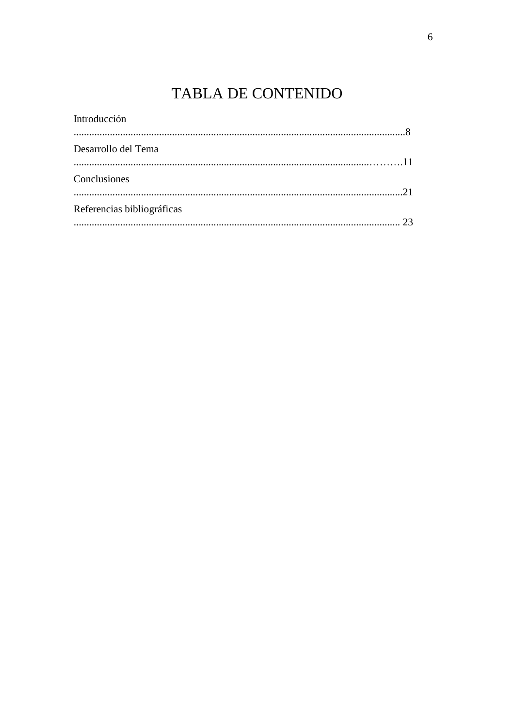# TABLA DE CONTENIDO

| Introducción               |  |
|----------------------------|--|
| Desarrollo del Tema        |  |
| Conclusiones               |  |
| Referencias bibliográficas |  |
|                            |  |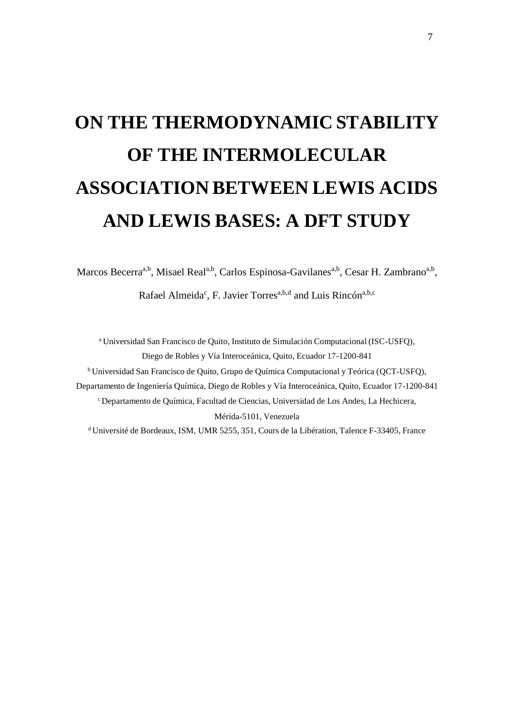# **ON THE THERMODYNAMIC STABILITY OF THE INTERMOLECULAR ASSOCIATION BETWEEN LEWIS ACIDS AND LEWIS BASES: A DFT STUDY**

Marcos Becerra<sup>a,b</sup>, Misael Real<sup>a,b</sup>, Carlos Espinosa-Gavilanes<sup>a,b</sup>, Cesar H. Zambrano<sup>a,b</sup>,

Rafael Almeida<sup>c</sup>, F. Javier Torres<sup>a,b,d</sup> and Luis Rincón<sup>a,b,c</sup>

<sup>a</sup>Universidad San Francisco de Quito, Instituto de Simulación Computacional (ISC-USFQ), Diego de Robles y Vía Interoceánica, Quito, Ecuador 17-1200-841

<sup>b</sup>Universidad San Francisco de Quito, Grupo de Química Computacional y Teórica (QCT-USFQ),

Departamento de Ingeniería Química, Diego de Robles y Vía Interoceánica, Quito, Ecuador 17-1200-841

<sup>c</sup> Departamento de Química, Facultad de Ciencias, Universidad de Los Andes, La Hechicera,

Mérida-5101, Venezuela

<sup>d</sup> Université de Bordeaux, ISM, UMR 5255, 351, Cours de la Libération, Talence F-33405, France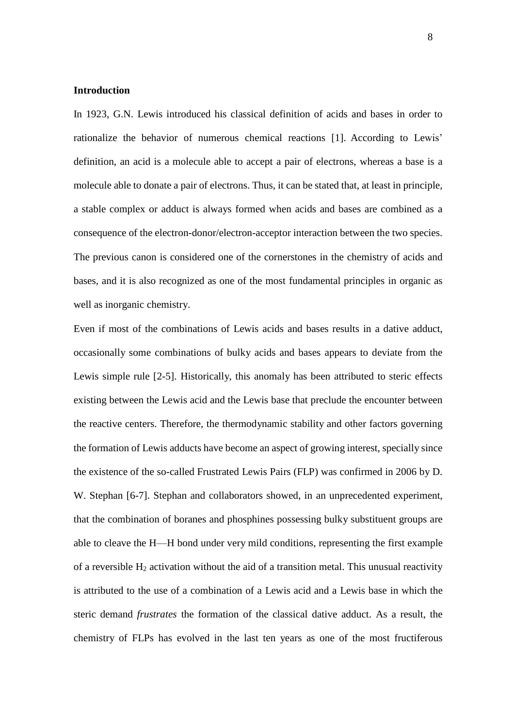#### **Introduction**

In 1923, G.N. Lewis introduced his classical definition of acids and bases in order to rationalize the behavior of numerous chemical reactions [1]. According to Lewis' definition, an acid is a molecule able to accept a pair of electrons, whereas a base is a molecule able to donate a pair of electrons. Thus, it can be stated that, at least in principle, a stable complex or adduct is always formed when acids and bases are combined as a consequence of the electron-donor/electron-acceptor interaction between the two species. The previous canon is considered one of the cornerstones in the chemistry of acids and bases, and it is also recognized as one of the most fundamental principles in organic as well as inorganic chemistry.

Even if most of the combinations of Lewis acids and bases results in a dative adduct, occasionally some combinations of bulky acids and bases appears to deviate from the Lewis simple rule [2-5]. Historically, this anomaly has been attributed to steric effects existing between the Lewis acid and the Lewis base that preclude the encounter between the reactive centers. Therefore, the thermodynamic stability and other factors governing the formation of Lewis adducts have become an aspect of growing interest, specially since the existence of the so-called Frustrated Lewis Pairs (FLP) was confirmed in 2006 by D. W. Stephan [6-7]. Stephan and collaborators showed, in an unprecedented experiment, that the combination of boranes and phosphines possessing bulky substituent groups are able to cleave the H—H bond under very mild conditions, representing the first example of a reversible  $H_2$  activation without the aid of a transition metal. This unusual reactivity is attributed to the use of a combination of a Lewis acid and a Lewis base in which the steric demand *frustrates* the formation of the classical dative adduct. As a result, the chemistry of FLPs has evolved in the last ten years as one of the most fructiferous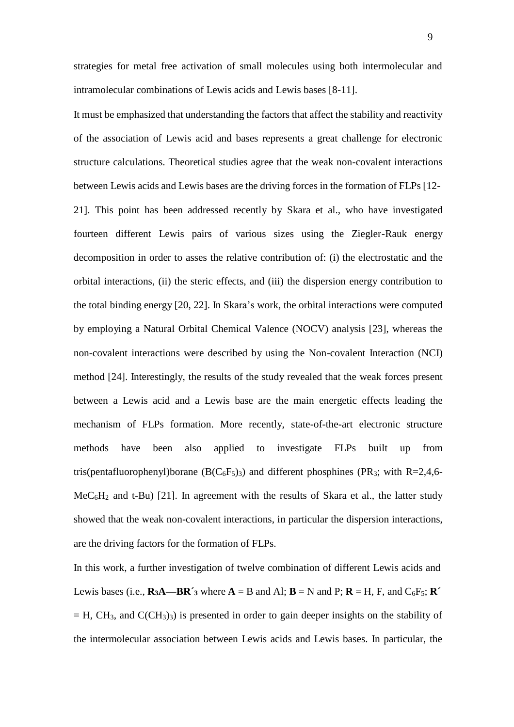strategies for metal free activation of small molecules using both intermolecular and intramolecular combinations of Lewis acids and Lewis bases [8-11].

It must be emphasized that understanding the factors that affect the stability and reactivity of the association of Lewis acid and bases represents a great challenge for electronic structure calculations. Theoretical studies agree that the weak non-covalent interactions between Lewis acids and Lewis bases are the driving forces in the formation of FLPs [12- 21]. This point has been addressed recently by Skara et al., who have investigated fourteen different Lewis pairs of various sizes using the Ziegler-Rauk energy decomposition in order to asses the relative contribution of: (i) the electrostatic and the orbital interactions, (ii) the steric effects, and (iii) the dispersion energy contribution to the total binding energy [20, 22]. In Skara's work, the orbital interactions were computed by employing a Natural Orbital Chemical Valence (NOCV) analysis [23], whereas the non-covalent interactions were described by using the Non-covalent Interaction (NCI) method [24]. Interestingly, the results of the study revealed that the weak forces present between a Lewis acid and a Lewis base are the main energetic effects leading the mechanism of FLPs formation. More recently, state-of-the-art electronic structure methods have been also applied to investigate FLPs built up from tris(pentafluorophenyl)borane ( $B(C_6F_5)$ <sub>3</sub>) and different phosphines (PR<sub>3</sub>; with R=2,4,6- $MeC_6H_2$  and t-Bu) [21]. In agreement with the results of Skara et al., the latter study showed that the weak non-covalent interactions, in particular the dispersion interactions, are the driving factors for the formation of FLPs.

In this work, a further investigation of twelve combination of different Lewis acids and Lewis bases (i.e.,  $\mathbf{R}_3\mathbf{A}$ — $\mathbf{B}\mathbf{R}$ <sup> $\hat{\mathbf{s}}$ </sup> where  $\mathbf{A} = \mathbf{B}$  and  $\mathbf{A}\mathbf{l}$ ;  $\mathbf{B} = \mathbf{N}$  and  $\mathbf{P}$ ;  $\mathbf{R} = \mathbf{H}$ ,  $\mathbf{F}$ , and  $C_6\mathbf{F}_5$ ;  $\mathbf{R}^2$  $=$  H, CH<sub>3</sub>, and C(CH<sub>3</sub>)<sub>3</sub>) is presented in order to gain deeper insights on the stability of the intermolecular association between Lewis acids and Lewis bases. In particular, the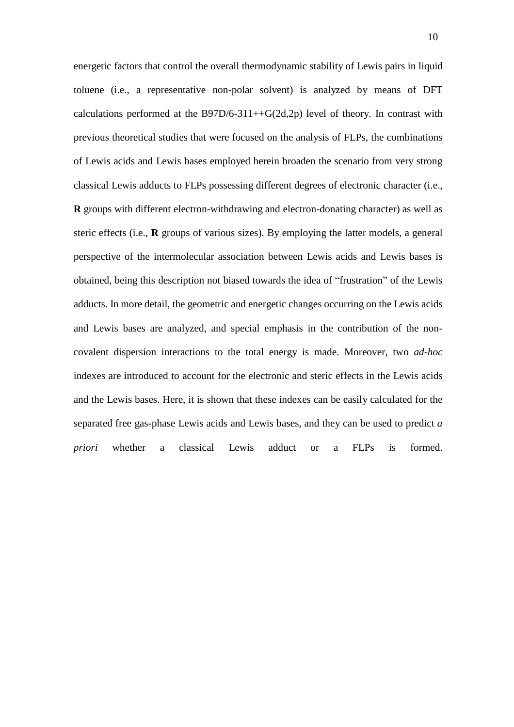energetic factors that control the overall thermodynamic stability of Lewis pairs in liquid toluene (i.e., a representative non-polar solvent) is analyzed by means of DFT calculations performed at the B97D/6-311++ $G(2d,2p)$  level of theory. In contrast with previous theoretical studies that were focused on the analysis of FLPs, the combinations of Lewis acids and Lewis bases employed herein broaden the scenario from very strong classical Lewis adducts to FLPs possessing different degrees of electronic character (i.e., **R** groups with different electron-withdrawing and electron-donating character) as well as steric effects (i.e., **R** groups of various sizes). By employing the latter models, a general perspective of the intermolecular association between Lewis acids and Lewis bases is obtained, being this description not biased towards the idea of "frustration" of the Lewis adducts. In more detail, the geometric and energetic changes occurring on the Lewis acids and Lewis bases are analyzed, and special emphasis in the contribution of the noncovalent dispersion interactions to the total energy is made. Moreover, two *ad-hoc*  indexes are introduced to account for the electronic and steric effects in the Lewis acids and the Lewis bases. Here, it is shown that these indexes can be easily calculated for the separated free gas-phase Lewis acids and Lewis bases, and they can be used to predict *a priori* whether a classical Lewis adduct or a FLPs is formed.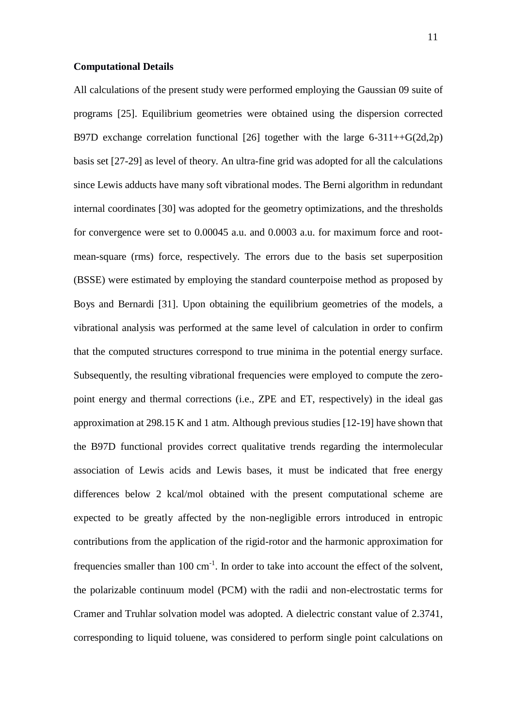#### **Computational Details**

All calculations of the present study were performed employing the Gaussian 09 suite of programs [25]. Equilibrium geometries were obtained using the dispersion corrected B97D exchange correlation functional [26] together with the large  $6-311++G(2d,2p)$ basis set [27-29] as level of theory. An ultra-fine grid was adopted for all the calculations since Lewis adducts have many soft vibrational modes. The Berni algorithm in redundant internal coordinates [30] was adopted for the geometry optimizations, and the thresholds for convergence were set to 0.00045 a.u. and 0.0003 a.u. for maximum force and rootmean-square (rms) force, respectively. The errors due to the basis set superposition (BSSE) were estimated by employing the standard counterpoise method as proposed by Boys and Bernardi [31]. Upon obtaining the equilibrium geometries of the models, a vibrational analysis was performed at the same level of calculation in order to confirm that the computed structures correspond to true minima in the potential energy surface. Subsequently, the resulting vibrational frequencies were employed to compute the zeropoint energy and thermal corrections (i.e., ZPE and ET, respectively) in the ideal gas approximation at 298.15 K and 1 atm. Although previous studies [12-19] have shown that the B97D functional provides correct qualitative trends regarding the intermolecular association of Lewis acids and Lewis bases, it must be indicated that free energy differences below 2 kcal/mol obtained with the present computational scheme are expected to be greatly affected by the non-negligible errors introduced in entropic contributions from the application of the rigid-rotor and the harmonic approximation for frequencies smaller than  $100 \text{ cm}^{-1}$ . In order to take into account the effect of the solvent, the polarizable continuum model (PCM) with the radii and non-electrostatic terms for Cramer and Truhlar solvation model was adopted. A dielectric constant value of 2.3741, corresponding to liquid toluene, was considered to perform single point calculations on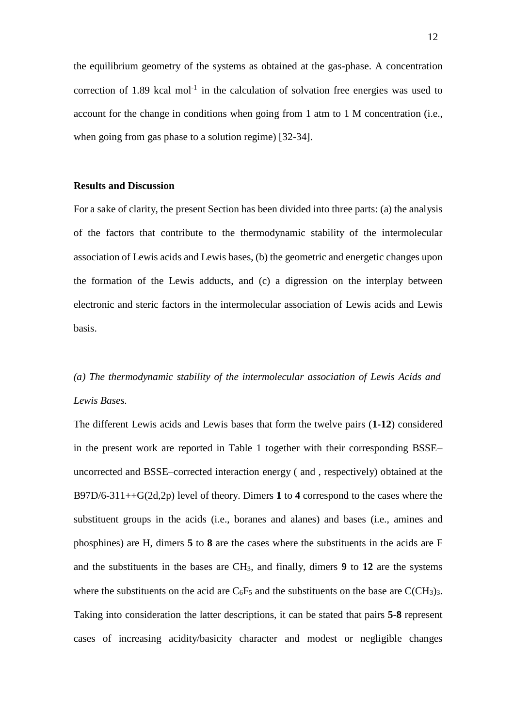the equilibrium geometry of the systems as obtained at the gas-phase. A concentration correction of  $1.89$  kcal mol<sup>-1</sup> in the calculation of solvation free energies was used to account for the change in conditions when going from 1 atm to 1 M concentration (i.e., when going from gas phase to a solution regime) [32-34].

#### **Results and Discussion**

For a sake of clarity, the present Section has been divided into three parts: (a) the analysis of the factors that contribute to the thermodynamic stability of the intermolecular association of Lewis acids and Lewis bases, (b) the geometric and energetic changes upon the formation of the Lewis adducts, and (c) a digression on the interplay between electronic and steric factors in the intermolecular association of Lewis acids and Lewis basis.

# *(a) The thermodynamic stability of the intermolecular association of Lewis Acids and Lewis Bases.*

The different Lewis acids and Lewis bases that form the twelve pairs (**1-12**) considered in the present work are reported in Table 1 together with their corresponding BSSE– uncorrected and BSSE–corrected interaction energy ( and , respectively) obtained at the B97D/6-311++G(2d,2p) level of theory. Dimers **1** to **4** correspond to the cases where the substituent groups in the acids (i.e., boranes and alanes) and bases (i.e., amines and phosphines) are H, dimers **5** to **8** are the cases where the substituents in the acids are F and the substituents in the bases are CH3, and finally, dimers **9** to **12** are the systems where the substituents on the acid are  $C_6F_5$  and the substituents on the base are  $C(CH_3)_3$ . Taking into consideration the latter descriptions, it can be stated that pairs **5**-**8** represent cases of increasing acidity/basicity character and modest or negligible changes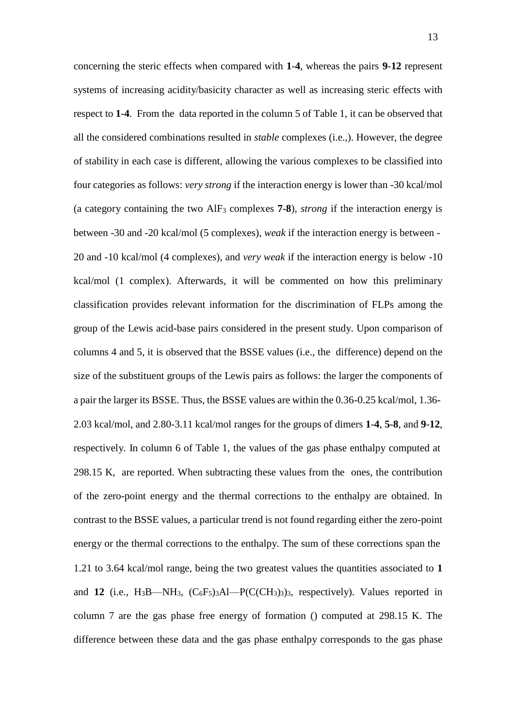concerning the steric effects when compared with **1**-**4**, whereas the pairs **9**-**12** represent systems of increasing acidity/basicity character as well as increasing steric effects with respect to **1**-**4**. From the data reported in the column 5 of Table 1, it can be observed that all the considered combinations resulted in *stable* complexes (i.e.,). However, the degree of stability in each case is different, allowing the various complexes to be classified into four categories as follows: *very strong* if the interaction energy is lower than -30 kcal/mol (a category containing the two AlF<sup>3</sup> complexes **7**-**8**), *strong* if the interaction energy is between -30 and -20 kcal/mol (5 complexes), *weak* if the interaction energy is between - 20 and -10 kcal/mol (4 complexes), and *very weak* if the interaction energy is below -10 kcal/mol (1 complex). Afterwards, it will be commented on how this preliminary classification provides relevant information for the discrimination of FLPs among the group of the Lewis acid-base pairs considered in the present study. Upon comparison of columns 4 and 5, it is observed that the BSSE values (i.e., the difference) depend on the size of the substituent groups of the Lewis pairs as follows: the larger the components of a pair the larger its BSSE. Thus, the BSSE values are within the 0.36-0.25 kcal/mol, 1.36- 2.03 kcal/mol, and 2.80-3.11 kcal/mol ranges for the groups of dimers **1**-**4**, **5**-**8**, and **9**-**12**, respectively. In column 6 of Table 1, the values of the gas phase enthalpy computed at 298.15 K, are reported. When subtracting these values from the ones, the contribution of the zero-point energy and the thermal corrections to the enthalpy are obtained. In contrast to the BSSE values, a particular trend is not found regarding either the zero-point energy or the thermal corrections to the enthalpy. The sum of these corrections span the 1.21 to 3.64 kcal/mol range, being the two greatest values the quantities associated to **1**  and **12** (i.e.,  $H_3B-MH_3$ ,  $(C_6F_5)$ <sub>3</sub>Al—P( $C(CH_3)$ <sub>3</sub>)<sub>3</sub>, respectively). Values reported in column 7 are the gas phase free energy of formation () computed at 298.15 K. The difference between these data and the gas phase enthalpy corresponds to the gas phase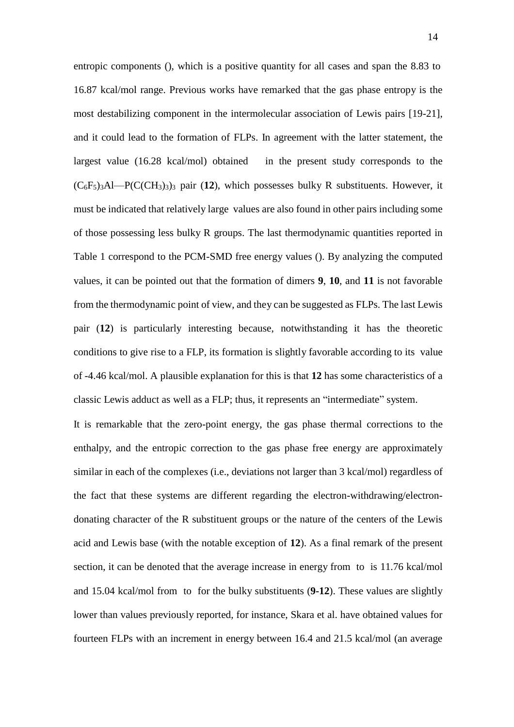entropic components (), which is a positive quantity for all cases and span the 8.83 to 16.87 kcal/mol range. Previous works have remarked that the gas phase entropy is the most destabilizing component in the intermolecular association of Lewis pairs [19-21], and it could lead to the formation of FLPs. In agreement with the latter statement, the largest value (16.28 kcal/mol) obtained in the present study corresponds to the  $(C_6F_5)_3$ Al—P(C(CH<sub>3</sub>)<sub>3</sub>)<sub>3</sub> pair (12), which possesses bulky R substituents. However, it must be indicated that relatively large values are also found in other pairs including some of those possessing less bulky R groups. The last thermodynamic quantities reported in Table 1 correspond to the PCM-SMD free energy values (). By analyzing the computed values, it can be pointed out that the formation of dimers **9**, **10**, and **11** is not favorable from the thermodynamic point of view, and they can be suggested as FLPs. The last Lewis pair (**12**) is particularly interesting because, notwithstanding it has the theoretic conditions to give rise to a FLP, its formation is slightly favorable according to its value of -4.46 kcal/mol. A plausible explanation for this is that **12** has some characteristics of a classic Lewis adduct as well as a FLP; thus, it represents an "intermediate" system.

It is remarkable that the zero-point energy, the gas phase thermal corrections to the enthalpy, and the entropic correction to the gas phase free energy are approximately similar in each of the complexes (i.e., deviations not larger than 3 kcal/mol) regardless of the fact that these systems are different regarding the electron-withdrawing/electrondonating character of the R substituent groups or the nature of the centers of the Lewis acid and Lewis base (with the notable exception of **12**). As a final remark of the present section, it can be denoted that the average increase in energy from to is 11.76 kcal/mol and 15.04 kcal/mol from to for the bulky substituents (**9-12**). These values are slightly lower than values previously reported, for instance, Skara et al. have obtained values for fourteen FLPs with an increment in energy between 16.4 and 21.5 kcal/mol (an average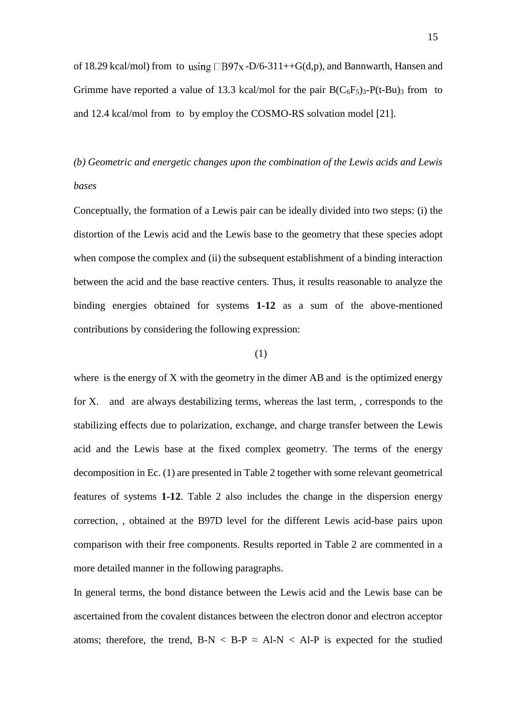of 18.29 kcal/mol) from to using  $\Box$ B97x -D/6-311++G(d,p), and Bannwarth, Hansen and Grimme have reported a value of 13.3 kcal/mol for the pair  $B(C_6F_5)_3-P(t-Bu)_3$  from to and 12.4 kcal/mol from to by employ the COSMO-RS solvation model [21].

*(b) Geometric and energetic changes upon the combination of the Lewis acids and Lewis bases*

Conceptually, the formation of a Lewis pair can be ideally divided into two steps: (i) the distortion of the Lewis acid and the Lewis base to the geometry that these species adopt when compose the complex and (ii) the subsequent establishment of a binding interaction between the acid and the base reactive centers. Thus, it results reasonable to analyze the binding energies obtained for systems **1-12** as a sum of the above-mentioned contributions by considering the following expression:

#### (1)

where is the energy of X with the geometry in the dimer AB and is the optimized energy for X. and are always destabilizing terms, whereas the last term, , corresponds to the stabilizing effects due to polarization, exchange, and charge transfer between the Lewis acid and the Lewis base at the fixed complex geometry. The terms of the energy decomposition in Ec. (1) are presented in Table 2 together with some relevant geometrical features of systems **1-12**. Table 2 also includes the change in the dispersion energy correction, , obtained at the B97D level for the different Lewis acid-base pairs upon comparison with their free components. Results reported in Table 2 are commented in a more detailed manner in the following paragraphs.

In general terms, the bond distance between the Lewis acid and the Lewis base can be ascertained from the covalent distances between the electron donor and electron acceptor atoms; therefore, the trend,  $B-N < B-P \approx A I-N < A I-P$  is expected for the studied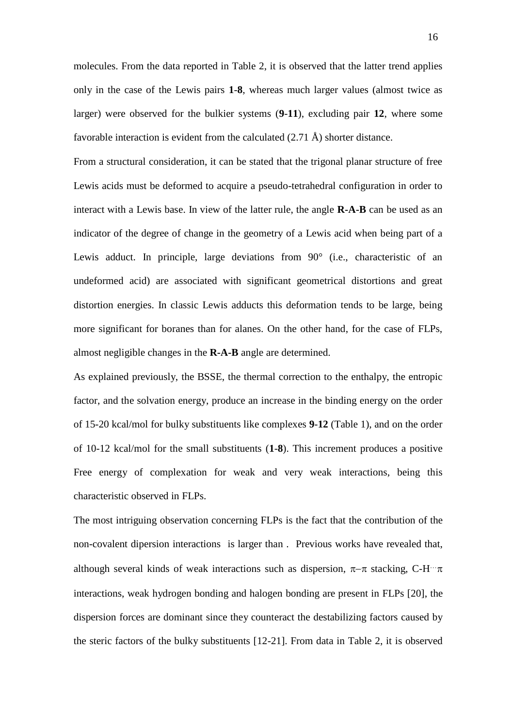molecules. From the data reported in Table 2, it is observed that the latter trend applies only in the case of the Lewis pairs **1**-**8**, whereas much larger values (almost twice as larger) were observed for the bulkier systems (**9**-**11**), excluding pair **12**, where some favorable interaction is evident from the calculated  $(2.71 \text{ Å})$  shorter distance.

From a structural consideration, it can be stated that the trigonal planar structure of free Lewis acids must be deformed to acquire a pseudo-tetrahedral configuration in order to interact with a Lewis base. In view of the latter rule, the angle **R-A-B** can be used as an indicator of the degree of change in the geometry of a Lewis acid when being part of a Lewis adduct. In principle, large deviations from 90° (i.e., characteristic of an undeformed acid) are associated with significant geometrical distortions and great distortion energies. In classic Lewis adducts this deformation tends to be large, being more significant for boranes than for alanes. On the other hand, for the case of FLPs, almost negligible changes in the **R-A-B** angle are determined.

As explained previously, the BSSE, the thermal correction to the enthalpy, the entropic factor, and the solvation energy, produce an increase in the binding energy on the order of 15-20 kcal/mol for bulky substituents like complexes **9**-**12** (Table 1), and on the order of 10-12 kcal/mol for the small substituents (**1**-**8**). This increment produces a positive Free energy of complexation for weak and very weak interactions, being this characteristic observed in FLPs.

The most intriguing observation concerning FLPs is the fact that the contribution of the non-covalent dipersion interactions is larger than . Previous works have revealed that, although several kinds of weak interactions such as dispersion,  $\pi-\pi$  stacking, C-H $\forall \pi$ interactions, weak hydrogen bonding and halogen bonding are present in FLPs [20], the dispersion forces are dominant since they counteract the destabilizing factors caused by the steric factors of the bulky substituents [12-21]. From data in Table 2, it is observed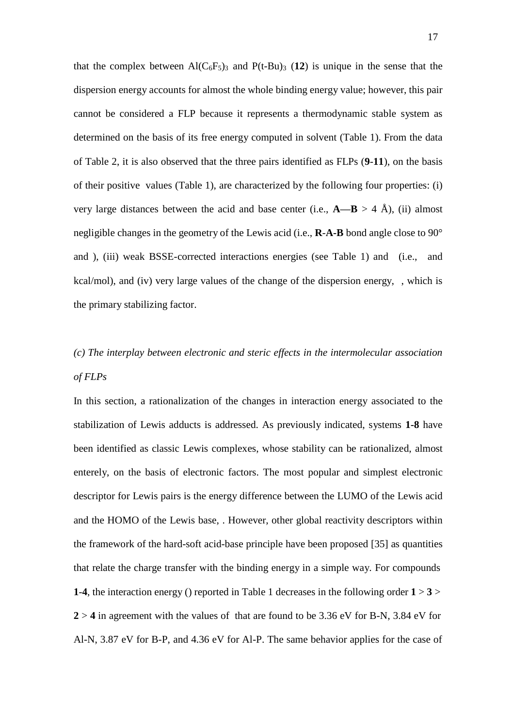that the complex between  $\text{Al}(C_6F_5)$ <sub>3</sub> and  $\text{P}(t-Bu)$ <sub>3</sub> (12) is unique in the sense that the dispersion energy accounts for almost the whole binding energy value; however, this pair cannot be considered a FLP because it represents a thermodynamic stable system as determined on the basis of its free energy computed in solvent (Table 1). From the data of Table 2, it is also observed that the three pairs identified as FLPs (**9**-**11**), on the basis of their positive values (Table 1), are characterized by the following four properties: (i) very large distances between the acid and base center (i.e.,  $A - B > 4$  Å), (ii) almost negligible changes in the geometry of the Lewis acid (i.e., **R**-**A-B** bond angle close to 90° and ), (iii) weak BSSE-corrected interactions energies (see Table 1) and (i.e., and kcal/mol), and (iv) very large values of the change of the dispersion energy, , which is the primary stabilizing factor.

# *(c) The interplay between electronic and steric effects in the intermolecular association of FLPs*

In this section, a rationalization of the changes in interaction energy associated to the stabilization of Lewis adducts is addressed. As previously indicated, systems **1-8** have been identified as classic Lewis complexes, whose stability can be rationalized, almost enterely, on the basis of electronic factors. The most popular and simplest electronic descriptor for Lewis pairs is the energy difference between the LUMO of the Lewis acid and the HOMO of the Lewis base, . However, other global reactivity descriptors within the framework of the hard-soft acid-base principle have been proposed [35] as quantities that relate the charge transfer with the binding energy in a simple way. For compounds **1-4**, the interaction energy () reported in Table 1 decreases in the following order  $1 > 3$ **2** > **4** in agreement with the values of that are found to be 3.36 eV for B-N, 3.84 eV for Al-N, 3.87 eV for B-P, and 4.36 eV for Al-P. The same behavior applies for the case of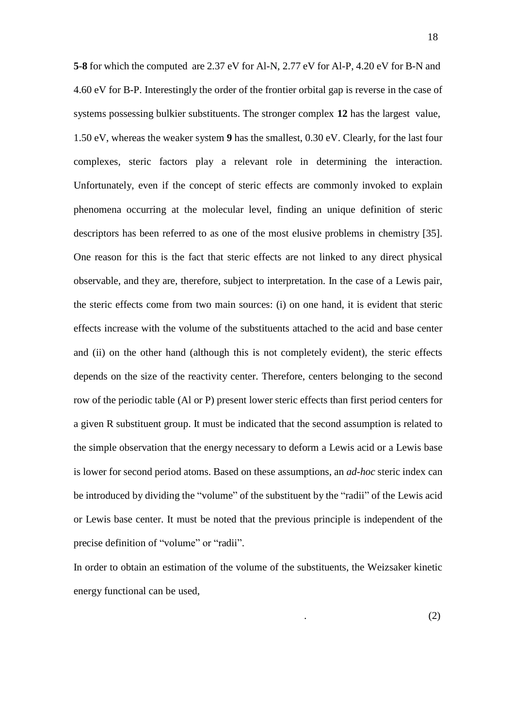**5**-**8** for which the computed are 2.37 eV for Al-N, 2.77 eV for Al-P, 4.20 eV for B-N and 4.60 eV for B-P. Interestingly the order of the frontier orbital gap is reverse in the case of systems possessing bulkier substituents. The stronger complex **12** has the largest value, 1.50 eV, whereas the weaker system **9** has the smallest, 0.30 eV. Clearly, for the last four complexes, steric factors play a relevant role in determining the interaction. Unfortunately, even if the concept of steric effects are commonly invoked to explain phenomena occurring at the molecular level, finding an unique definition of steric descriptors has been referred to as one of the most elusive problems in chemistry [35]. One reason for this is the fact that steric effects are not linked to any direct physical observable, and they are, therefore, subject to interpretation. In the case of a Lewis pair, the steric effects come from two main sources: (i) on one hand, it is evident that steric effects increase with the volume of the substituents attached to the acid and base center and (ii) on the other hand (although this is not completely evident), the steric effects depends on the size of the reactivity center. Therefore, centers belonging to the second row of the periodic table (Al or P) present lower steric effects than first period centers for a given R substituent group. It must be indicated that the second assumption is related to the simple observation that the energy necessary to deform a Lewis acid or a Lewis base is lower for second period atoms. Based on these assumptions, an *ad-hoc* steric index can be introduced by dividing the "volume" of the substituent by the "radii" of the Lewis acid or Lewis base center. It must be noted that the previous principle is independent of the precise definition of "volume" or "radii".

In order to obtain an estimation of the volume of the substituents, the Weizsaker kinetic energy functional can be used,

.  $(2)$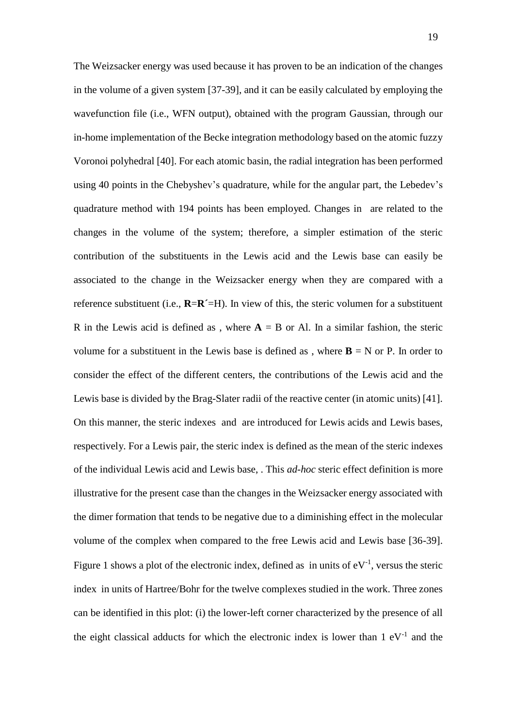The Weizsacker energy was used because it has proven to be an indication of the changes in the volume of a given system [37-39], and it can be easily calculated by employing the wavefunction file (i.e., WFN output), obtained with the program Gaussian, through our in-home implementation of the Becke integration methodology based on the atomic fuzzy Voronoi polyhedral [40]. For each atomic basin, the radial integration has been performed using 40 points in the Chebyshev's quadrature, while for the angular part, the Lebedev's quadrature method with 194 points has been employed. Changes in are related to the changes in the volume of the system; therefore, a simpler estimation of the steric contribution of the substituents in the Lewis acid and the Lewis base can easily be associated to the change in the Weizsacker energy when they are compared with a reference substituent (i.e., **R**=**R´**=H). In view of this, the steric volumen for a substituent R in the Lewis acid is defined as, where  $A = B$  or Al. In a similar fashion, the steric volume for a substituent in the Lewis base is defined as, where  $\mathbf{B} = N$  or P. In order to consider the effect of the different centers, the contributions of the Lewis acid and the Lewis base is divided by the Brag-Slater radii of the reactive center (in atomic units) [41]. On this manner, the steric indexes and are introduced for Lewis acids and Lewis bases, respectively. For a Lewis pair, the steric index is defined as the mean of the steric indexes of the individual Lewis acid and Lewis base, . This *ad-hoc* steric effect definition is more illustrative for the present case than the changes in the Weizsacker energy associated with the dimer formation that tends to be negative due to a diminishing effect in the molecular volume of the complex when compared to the free Lewis acid and Lewis base [36-39]. Figure 1 shows a plot of the electronic index, defined as in units of  $eV^{-1}$ , versus the steric index in units of Hartree/Bohr for the twelve complexes studied in the work. Three zones can be identified in this plot: (i) the lower-left corner characterized by the presence of all the eight classical adducts for which the electronic index is lower than  $1 \text{ eV}^{-1}$  and the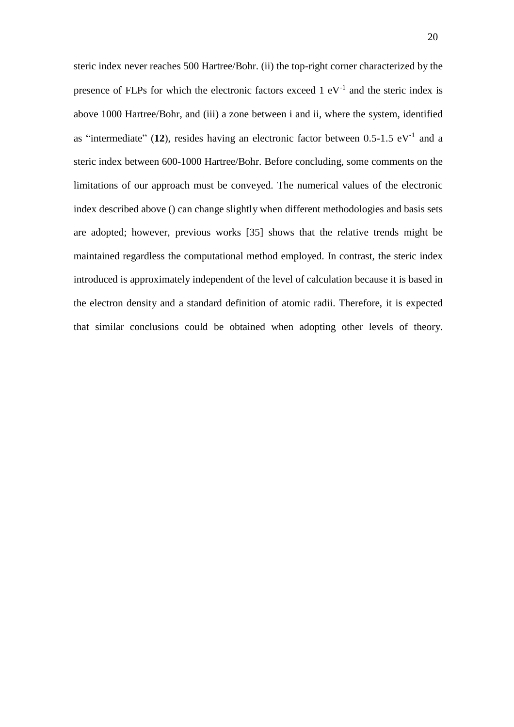steric index never reaches 500 Hartree/Bohr. (ii) the top-right corner characterized by the presence of FLPs for which the electronic factors exceed  $1 \text{ eV}^{-1}$  and the steric index is above 1000 Hartree/Bohr, and (iii) a zone between i and ii, where the system, identified as "intermediate"  $(12)$ , resides having an electronic factor between  $0.5$ -1.5 eV<sup>-1</sup> and a steric index between 600-1000 Hartree/Bohr. Before concluding, some comments on the limitations of our approach must be conveyed. The numerical values of the electronic index described above () can change slightly when different methodologies and basis sets are adopted; however, previous works [35] shows that the relative trends might be maintained regardless the computational method employed. In contrast, the steric index introduced is approximately independent of the level of calculation because it is based in the electron density and a standard definition of atomic radii. Therefore, it is expected that similar conclusions could be obtained when adopting other levels of theory.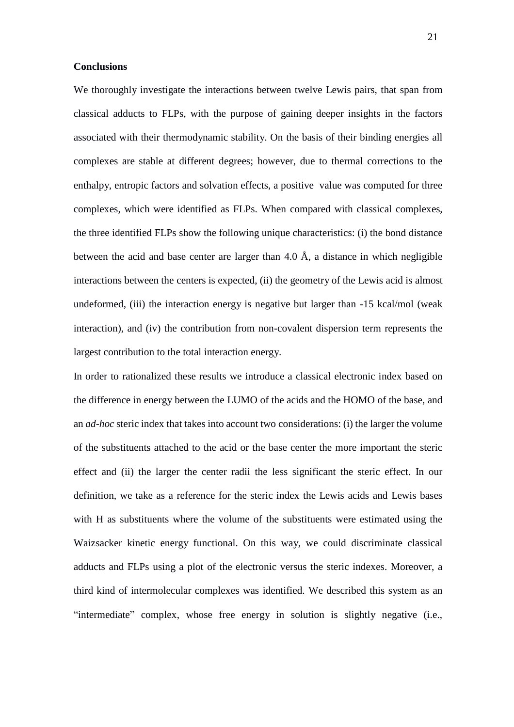#### **Conclusions**

We thoroughly investigate the interactions between twelve Lewis pairs, that span from classical adducts to FLPs, with the purpose of gaining deeper insights in the factors associated with their thermodynamic stability. On the basis of their binding energies all complexes are stable at different degrees; however, due to thermal corrections to the enthalpy, entropic factors and solvation effects, a positive value was computed for three complexes, which were identified as FLPs. When compared with classical complexes, the three identified FLPs show the following unique characteristics: (i) the bond distance between the acid and base center are larger than 4.0  $\AA$ , a distance in which negligible interactions between the centers is expected, (ii) the geometry of the Lewis acid is almost undeformed, (iii) the interaction energy is negative but larger than -15 kcal/mol (weak interaction), and (iv) the contribution from non-covalent dispersion term represents the largest contribution to the total interaction energy.

In order to rationalized these results we introduce a classical electronic index based on the difference in energy between the LUMO of the acids and the HOMO of the base, and an *ad-hoc* steric index that takes into account two considerations: (i) the larger the volume of the substituents attached to the acid or the base center the more important the steric effect and (ii) the larger the center radii the less significant the steric effect. In our definition, we take as a reference for the steric index the Lewis acids and Lewis bases with H as substituents where the volume of the substituents were estimated using the Waizsacker kinetic energy functional. On this way, we could discriminate classical adducts and FLPs using a plot of the electronic versus the steric indexes. Moreover, a third kind of intermolecular complexes was identified. We described this system as an "intermediate" complex, whose free energy in solution is slightly negative (i.e.,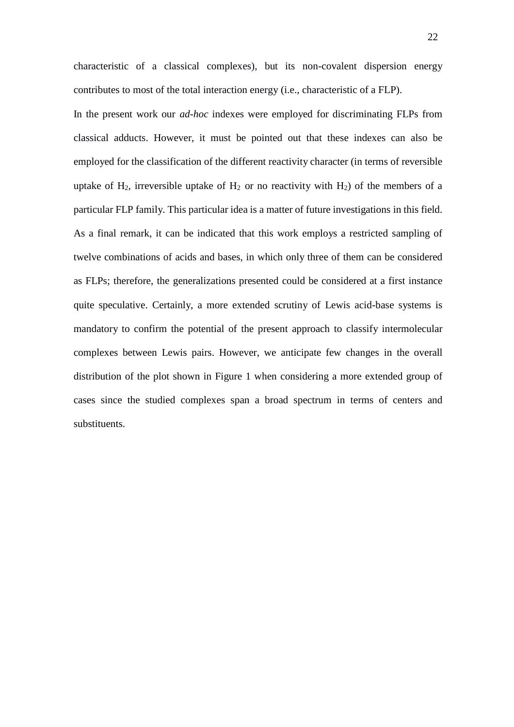22

characteristic of a classical complexes), but its non-covalent dispersion energy contributes to most of the total interaction energy (i.e., characteristic of a FLP).

In the present work our *ad-hoc* indexes were employed for discriminating FLPs from classical adducts. However, it must be pointed out that these indexes can also be employed for the classification of the different reactivity character (in terms of reversible uptake of  $H_2$ , irreversible uptake of  $H_2$  or no reactivity with  $H_2$ ) of the members of a particular FLP family. This particular idea is a matter of future investigations in this field. As a final remark, it can be indicated that this work employs a restricted sampling of twelve combinations of acids and bases, in which only three of them can be considered as FLPs; therefore, the generalizations presented could be considered at a first instance quite speculative. Certainly, a more extended scrutiny of Lewis acid-base systems is mandatory to confirm the potential of the present approach to classify intermolecular complexes between Lewis pairs. However, we anticipate few changes in the overall distribution of the plot shown in Figure 1 when considering a more extended group of cases since the studied complexes span a broad spectrum in terms of centers and substituents.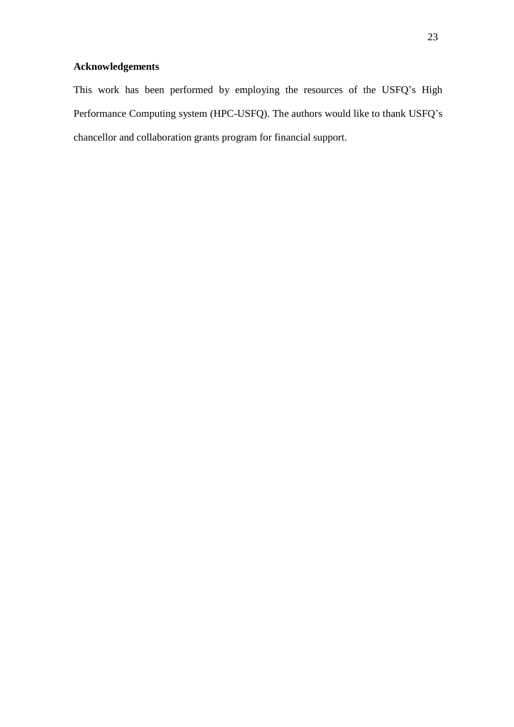#### **Acknowledgements**

This work has been performed by employing the resources of the USFQ's High Performance Computing system (HPC-USFQ). The authors would like to thank USFQ's chancellor and collaboration grants program for financial support.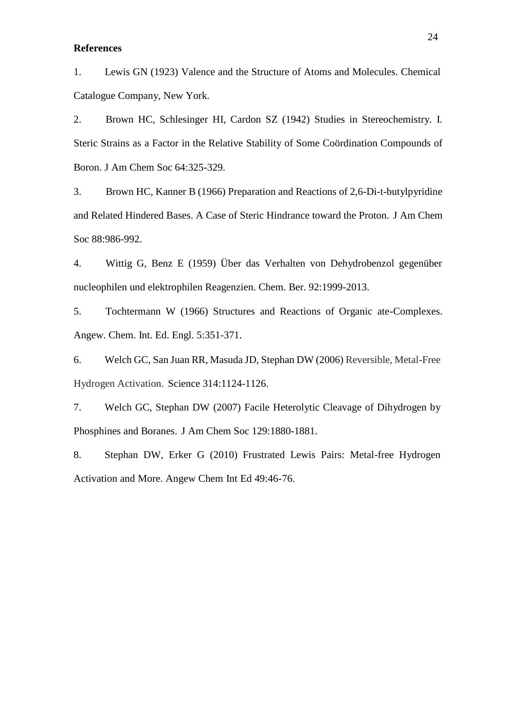#### **References**

1. Lewis GN (1923) Valence and the Structure of Atoms and Molecules. Chemical Catalogue Company, New York.

2. Brown HC, Schlesinger HI, Cardon SZ (1942) Studies in Stereochemistry. I. Steric Strains as a Factor in the Relative Stability of Some Coördination Compounds of Boron. J Am Chem Soc 64:325-329.

3. Brown HC, Kanner B (1966) Preparation and Reactions of 2,6-Di-t-butylpyridine and Related Hindered Bases. A Case of Steric Hindrance toward the Proton. J Am Chem Soc 88:986-992.

4. Wittig G, Benz E (1959) Über das Verhalten von Dehydrobenzol gegenüber nucleophilen und elektrophilen Reagenzien. Chem. Ber. 92:1999-2013.

5. Tochtermann W (1966) Structures and Reactions of Organic ate-Complexes. Angew. Chem. Int. Ed. Engl. 5:351-371.

6. Welch GC, San Juan RR, Masuda JD, Stephan DW (2006) Reversible, Metal-Free Hydrogen Activation. Science 314:1124-1126.

7. Welch GC, Stephan DW (2007) Facile Heterolytic Cleavage of Dihydrogen by Phosphines and Boranes. J Am Chem Soc 129:1880-1881.

8. Stephan DW, Erker G (2010) Frustrated Lewis Pairs: Metal-free Hydrogen Activation and More. Angew Chem Int Ed 49:46-76.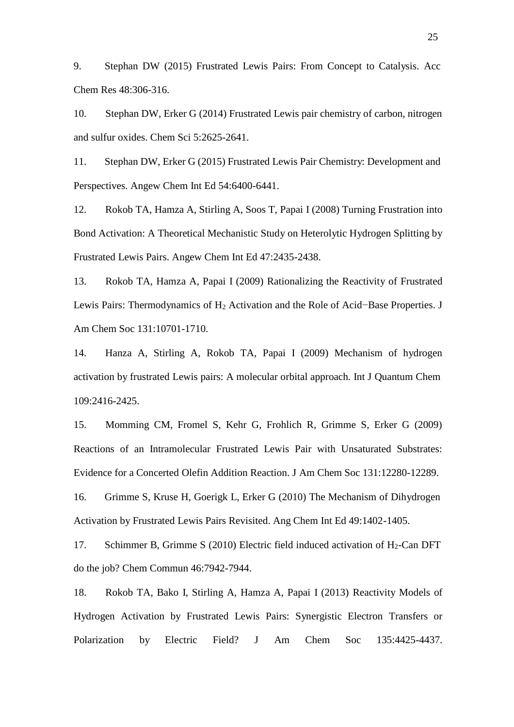9. Stephan DW (2015) Frustrated Lewis Pairs: From Concept to Catalysis. Acc Chem Res 48:306-316.

10. Stephan DW, Erker G (2014) Frustrated Lewis pair chemistry of carbon, nitrogen and sulfur oxides. Chem Sci 5:2625-2641.

11. Stephan DW, Erker G (2015) Frustrated Lewis Pair Chemistry: Development and Perspectives. Angew Chem Int Ed 54:6400-6441.

12. Rokob TA, Hamza A, Stirling A, Soos T, Papai I (2008) Turning Frustration into Bond Activation: A Theoretical Mechanistic Study on Heterolytic Hydrogen Splitting by Frustrated Lewis Pairs. Angew Chem Int Ed 47:2435-2438.

13. Rokob TA, Hamza A, Papai I (2009) Rationalizing the Reactivity of Frustrated Lewis Pairs: Thermodynamics of H<sup>2</sup> Activation and the Role of Acid−Base Properties. J Am Chem Soc 131:10701-1710.

14. Hanza A, Stirling A, Rokob TA, Papai I (2009) Mechanism of hydrogen activation by frustrated Lewis pairs: A molecular orbital approach. Int J Quantum Chem 109:2416-2425.

15. Momming CM, Fromel S, Kehr G, Frohlich R, Grimme S, Erker G (2009) Reactions of an Intramolecular Frustrated Lewis Pair with Unsaturated Substrates: Evidence for a Concerted Olefin Addition Reaction. J Am Chem Soc 131:12280-12289.

16. Grimme S, Kruse H, Goerigk L, Erker G (2010) The Mechanism of Dihydrogen Activation by Frustrated Lewis Pairs Revisited. Ang Chem Int Ed 49:1402-1405.

17. Schimmer B, Grimme S (2010) Electric field induced activation of  $H_2$ -Can DFT do the job? Chem Commun 46:7942-7944.

18. Rokob TA, Bako I, Stirling A, Hamza A, Papai I (2013) Reactivity Models of Hydrogen Activation by Frustrated Lewis Pairs: Synergistic Electron Transfers or Polarization by Electric Field? J Am Chem Soc 135:4425-4437.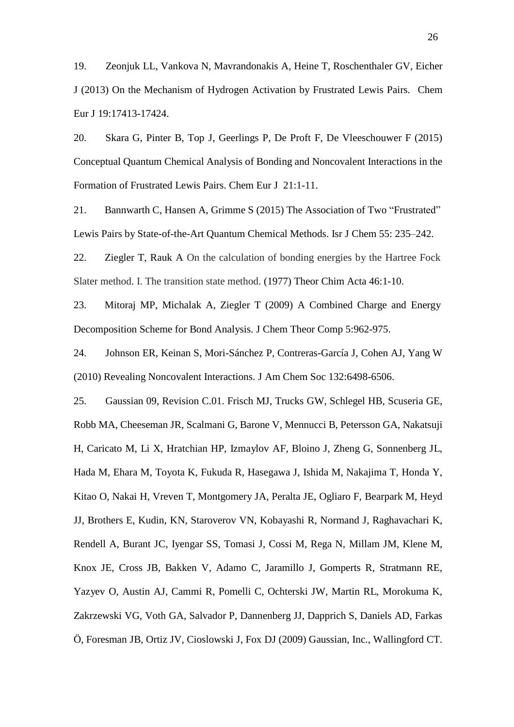19. Zeonjuk LL, Vankova N, Mavrandonakis A, Heine T, Roschenthaler GV, Eicher J (2013) On the Mechanism of Hydrogen Activation by Frustrated Lewis Pairs. Chem Eur J 19:17413-17424.

20. Skara G, Pinter B, Top J, Geerlings P, De Proft F, De Vleeschouwer F (2015) Conceptual Quantum Chemical Analysis of Bonding and Noncovalent Interactions in the Formation of Frustrated Lewis Pairs. Chem Eur J 21:1-11.

21. Bannwarth C, Hansen A, Grimme S (2015) The Association of Two "Frustrated" Lewis Pairs by State-of-the-Art Quantum Chemical Methods. Isr J Chem 55: 235–242.

22. Ziegler T, Rauk A On the calculation of bonding energies by the Hartree Fock Slater method. I. The transition state method. (1977) Theor Chim Acta 46:1-10.

23. Mitoraj MP, Michalak A, Ziegler T (2009) A Combined Charge and Energy Decomposition Scheme for Bond Analysis. J Chem Theor Comp 5:962-975.

24. Johnson ER, Keinan S, Mori-Sánchez P, Contreras-García J, Cohen AJ, Yang W (2010) Revealing Noncovalent Interactions. J Am Chem Soc 132:6498-6506.

25. Gaussian 09, Revision C.01. Frisch MJ, Trucks GW, Schlegel HB, Scuseria GE, Robb MA, Cheeseman JR, Scalmani G, Barone V, Mennucci B, Petersson GA, Nakatsuji H, Caricato M, Li X, Hratchian HP, Izmaylov AF, Bloino J, Zheng G, Sonnenberg JL, Hada M, Ehara M, Toyota K, Fukuda R, Hasegawa J, Ishida M, Nakajima T, Honda Y, Kitao O, Nakai H, Vreven T, Montgomery JA, Peralta JE, Ogliaro F, Bearpark M, Heyd JJ, Brothers E, Kudin, KN, Staroverov VN, Kobayashi R, Normand J, Raghavachari K, Rendell A, Burant JC, Iyengar SS, Tomasi J, Cossi M, Rega N, Millam JM, Klene M, Knox JE, Cross JB, Bakken V, Adamo C, Jaramillo J, Gomperts R, Stratmann RE, Yazyev O, Austin AJ, Cammi R, Pomelli C, Ochterski JW, Martin RL, Morokuma K, Zakrzewski VG, Voth GA, Salvador P, Dannenberg JJ, Dapprich S, Daniels AD, Farkas Ö, Foresman JB, Ortiz JV, Cioslowski J, Fox DJ (2009) Gaussian, Inc., Wallingford CT.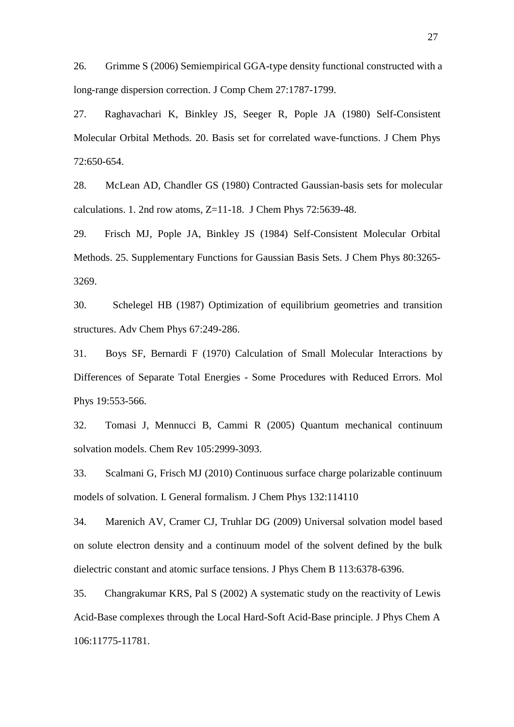26. Grimme S (2006) Semiempirical GGA-type density functional constructed with a long-range dispersion correction. J Comp Chem 27:1787-1799.

27. Raghavachari K, Binkley JS, Seeger R, Pople JA (1980) Self-Consistent Molecular Orbital Methods. 20. Basis set for correlated wave-functions. J Chem Phys 72:650-654.

28. McLean AD, Chandler GS (1980) Contracted Gaussian-basis sets for molecular calculations. 1. 2nd row atoms, Z=11-18. J Chem Phys 72:5639-48.

29. Frisch MJ, Pople JA, Binkley JS (1984) Self-Consistent Molecular Orbital Methods. 25. Supplementary Functions for Gaussian Basis Sets. J Chem Phys 80:3265- 3269.

30. Schelegel HB (1987) Optimization of equilibrium geometries and transition structures. Adv Chem Phys 67:249-286.

31. Boys SF, Bernardi F (1970) Calculation of Small Molecular Interactions by Differences of Separate Total Energies - Some Procedures with Reduced Errors. Mol Phys 19:553-566.

32. Tomasi J, Mennucci B, Cammi R (2005) Quantum mechanical continuum solvation models. Chem Rev 105:2999-3093.

33. Scalmani G, Frisch MJ (2010) Continuous surface charge polarizable continuum models of solvation. I. General formalism. J Chem Phys 132:114110

34. Marenich AV, Cramer CJ, Truhlar DG (2009) Universal solvation model based on solute electron density and a continuum model of the solvent defined by the bulk dielectric constant and atomic surface tensions. J Phys Chem B 113:6378-6396.

35. Changrakumar KRS, Pal S (2002) A systematic study on the reactivity of Lewis Acid-Base complexes through the Local Hard-Soft Acid-Base principle. J Phys Chem A 106:11775-11781.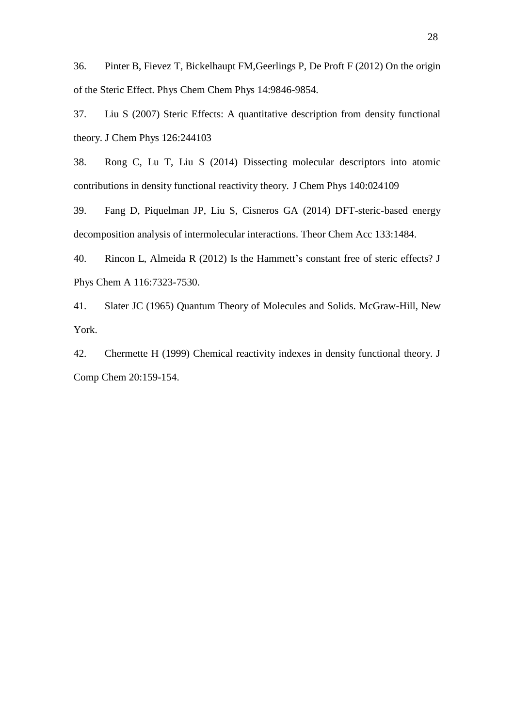36. Pinter B, Fievez T, Bickelhaupt FM,Geerlings P, De Proft F (2012) On the origin of the Steric Effect. Phys Chem Chem Phys 14:9846-9854.

37. Liu S (2007) Steric Effects: A quantitative description from density functional theory. J Chem Phys 126:244103

38. Rong C, Lu T, Liu S (2014) Dissecting molecular descriptors into atomic contributions in density functional reactivity theory. J Chem Phys 140:024109

39. Fang D, Piquelman JP, Liu S, Cisneros GA (2014) DFT-steric-based energy decomposition analysis of intermolecular interactions. Theor Chem Acc 133:1484.

40. Rincon L, Almeida R (2012) Is the Hammett's constant free of steric effects? J Phys Chem A 116:7323-7530.

41. Slater JC (1965) Quantum Theory of Molecules and Solids. McGraw-Hill, New York.

42. Chermette H (1999) Chemical reactivity indexes in density functional theory. J Comp Chem 20:159-154.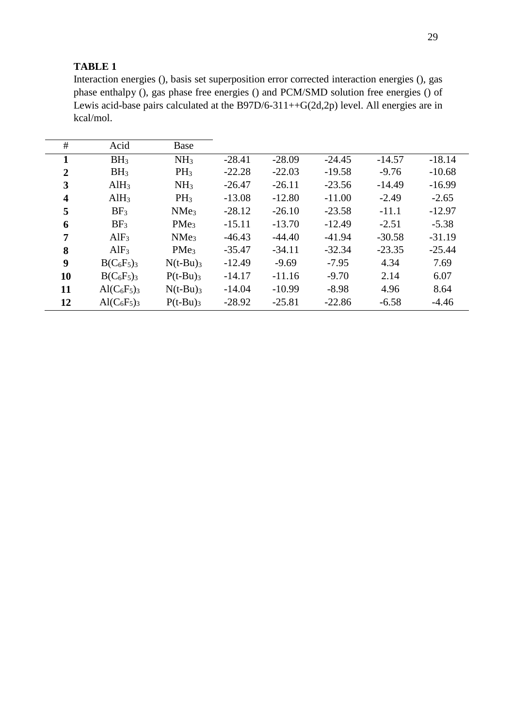#### **TABLE 1**

Interaction energies (), basis set superposition error corrected interaction energies (), gas phase enthalpy (), gas phase free energies () and PCM/SMD solution free energies () of Lewis acid-base pairs calculated at the B97D/6-311++G(2d,2p) level. All energies are in kcal/mol.

| #                       | Acid             | Base                   |          |          |          |          |          |
|-------------------------|------------------|------------------------|----------|----------|----------|----------|----------|
|                         | BH <sub>3</sub>  | NH <sub>3</sub>        | $-28.41$ | $-28.09$ | $-24.45$ | $-14.57$ | $-18.14$ |
| 2                       | BH <sub>3</sub>  | PH <sub>3</sub>        | $-22.28$ | $-22.03$ | $-19.58$ | $-9.76$  | $-10.68$ |
| 3                       | AlH <sub>3</sub> | NH <sub>3</sub>        | $-26.47$ | $-26.11$ | $-23.56$ | $-14.49$ | $-16.99$ |
| $\overline{\mathbf{4}}$ | AlH <sub>3</sub> | $PH_3$                 | $-13.08$ | $-12.80$ | $-11.00$ | $-2.49$  | $-2.65$  |
| 5                       | BF <sub>3</sub>  | NMe <sub>3</sub>       | $-28.12$ | $-26.10$ | $-23.58$ | $-11.1$  | $-12.97$ |
| 6                       | BF <sub>3</sub>  | PMe <sub>3</sub>       | $-15.11$ | $-13.70$ | $-12.49$ | $-2.51$  | $-5.38$  |
| 7                       | AlF <sub>3</sub> | NMe <sub>3</sub>       | $-46.43$ | $-44.40$ | $-41.94$ | $-30.58$ | $-31.19$ |
| 8                       | AlF <sub>3</sub> | PM <sub>e3</sub>       | $-35.47$ | $-34.11$ | $-32.34$ | $-23.35$ | $-25.44$ |
| 9                       | $B(C_6F_5)_3$    | $N(t-Bu)$ <sub>3</sub> | $-12.49$ | $-9.69$  | $-7.95$  | 4.34     | 7.69     |
| 10                      | $B(C_6F_5)_3$    | $P(t-Bu)$ <sub>3</sub> | $-14.17$ | $-11.16$ | $-9.70$  | 2.14     | 6.07     |
| 11                      | $Al(C_6F_5)_3$   | $N(t-Bu)$ <sub>3</sub> | $-14.04$ | $-10.99$ | $-8.98$  | 4.96     | 8.64     |
| 12                      | $Al(C_6F_5)_3$   | $P(t-Bu)3$             | $-28.92$ | $-25.81$ | $-22.86$ | $-6.58$  | $-4.46$  |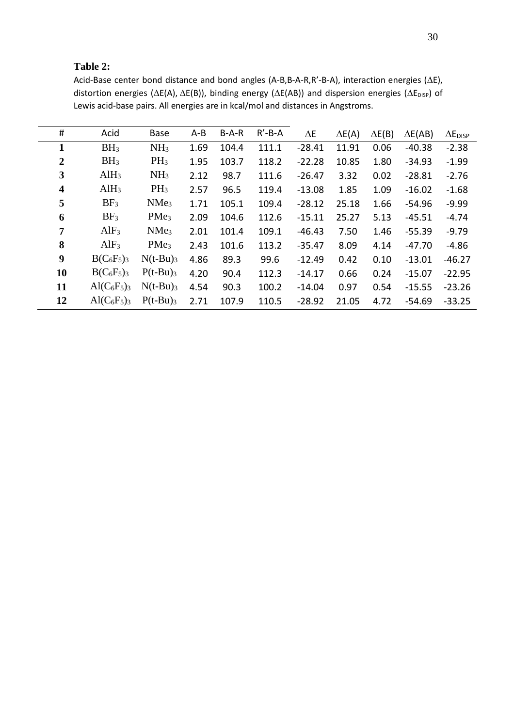#### **Table 2:**

Acid-Base center bond distance and bond angles (A-B,B-A-R,R'-B-A), interaction energies ( $\Delta E$ ), distortion energies ( $\Delta E(A)$ ,  $\Delta E(B)$ ), binding energy ( $\Delta E(AB)$ ) and dispersion energies ( $\Delta E_{\text{DISP}}$ ) of Lewis acid-base pairs. All energies are in kcal/mol and distances in Angstroms.

| #                       | Acid             | <b>Base</b>            | $A - B$ | $B-A-R$ | $R'$ -B-A | $\Delta E$ | $\Delta E(A)$ | $\Delta E(B)$ | $\Delta E(AB)$ | $\Delta E_{\text{DISP}}$ |
|-------------------------|------------------|------------------------|---------|---------|-----------|------------|---------------|---------------|----------------|--------------------------|
| $\mathbf{1}$            | BH <sub>3</sub>  | NH <sub>3</sub>        | 1.69    | 104.4   | 111.1     | $-28.41$   | 11.91         | 0.06          | $-40.38$       | $-2.38$                  |
| $\overline{2}$          | BH <sub>3</sub>  | $PH_3$                 | 1.95    | 103.7   | 118.2     | $-22.28$   | 10.85         | 1.80          | $-34.93$       | $-1.99$                  |
| 3                       | AlH <sub>3</sub> | NH <sub>3</sub>        | 2.12    | 98.7    | 111.6     | $-26.47$   | 3.32          | 0.02          | $-28.81$       | $-2.76$                  |
| $\overline{\mathbf{4}}$ | AlH <sub>3</sub> | $PH_3$                 | 2.57    | 96.5    | 119.4     | $-13.08$   | 1.85          | 1.09          | $-16.02$       | $-1.68$                  |
| 5                       | BF <sub>3</sub>  | NMe <sub>3</sub>       | 1.71    | 105.1   | 109.4     | $-28.12$   | 25.18         | 1.66          | $-54.96$       | $-9.99$                  |
| 6                       | BF <sub>3</sub>  | PMe <sub>3</sub>       | 2.09    | 104.6   | 112.6     | $-15.11$   | 25.27         | 5.13          | $-45.51$       | $-4.74$                  |
| 7                       | AlF <sub>3</sub> | NMe <sub>3</sub>       | 2.01    | 101.4   | 109.1     | $-46.43$   | 7.50          | 1.46          | $-55.39$       | $-9.79$                  |
| 8                       | AlF <sub>3</sub> | PM <sub>e3</sub>       | 2.43    | 101.6   | 113.2     | $-35.47$   | 8.09          | 4.14          | -47.70         | $-4.86$                  |
| 9                       | $B(C_6F_5)_3$    | $N(t-Bu)$ <sub>3</sub> | 4.86    | 89.3    | 99.6      | $-12.49$   | 0.42          | 0.10          | $-13.01$       | $-46.27$                 |
| 10                      | $B(C_6F_5)_3$    | $P(t-Bu)$ <sub>3</sub> | 4.20    | 90.4    | 112.3     | $-14.17$   | 0.66          | 0.24          | $-15.07$       | $-22.95$                 |
| 11                      | $Al(C_6F_5)_3$   | $N(t-Bu)$ <sub>3</sub> | 4.54    | 90.3    | 100.2     | $-14.04$   | 0.97          | 0.54          | $-15.55$       | $-23.26$                 |
| 12                      | $Al(C_6F_5)_3$   | $P(t-Bu)$ <sub>3</sub> | 2.71    | 107.9   | 110.5     | $-28.92$   | 21.05         | 4.72          | $-54.69$       | $-33.25$                 |